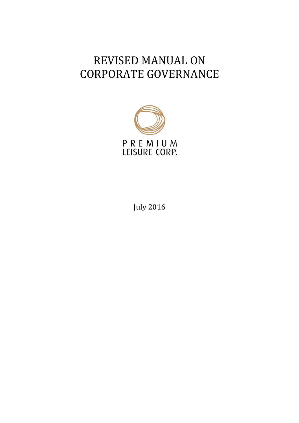# REVISED MANUAL ON CORPORATE GOVERNANCE



July 2016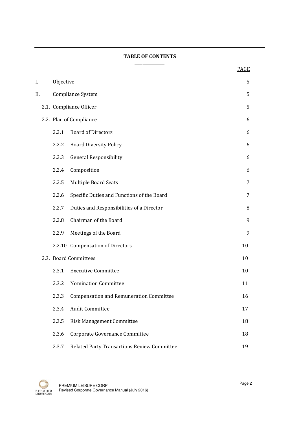#### TABLE OF CONTENTS \_\_\_\_\_\_\_\_\_\_\_\_\_\_\_

|     |           |                                                    | <b>PAGE</b> |  |  |  |
|-----|-----------|----------------------------------------------------|-------------|--|--|--|
| I.  | Objective |                                                    |             |  |  |  |
| II. |           | Compliance System                                  | 5           |  |  |  |
|     |           | 2.1. Compliance Officer                            | 5           |  |  |  |
|     |           | 2.2. Plan of Compliance                            | 6           |  |  |  |
|     | 2.2.1     | <b>Board of Directors</b>                          | 6           |  |  |  |
|     | 2.2.2     | <b>Board Diversity Policy</b>                      | 6           |  |  |  |
|     | 2.2.3     | <b>General Responsibility</b>                      | 6           |  |  |  |
|     | 2.2.4     | Composition                                        | 6           |  |  |  |
|     | 2.2.5     | Multiple Board Seats                               | 7           |  |  |  |
|     | 2.2.6     | Specific Duties and Functions of the Board         | 7           |  |  |  |
|     | 2.2.7     | Duties and Responsibilities of a Director          | 8           |  |  |  |
|     | 2.2.8     | Chairman of the Board                              | 9           |  |  |  |
|     | 2.2.9     | Meetings of the Board                              | 9           |  |  |  |
|     |           | 2.2.10 Compensation of Directors                   | 10          |  |  |  |
|     |           | 2.3. Board Committees                              | 10          |  |  |  |
|     | 2.3.1     | <b>Executive Committee</b>                         | 10          |  |  |  |
|     | 2.3.2     | <b>Nomination Committee</b>                        | 11          |  |  |  |
|     | 2.3.3     | <b>Compensation and Remuneration Committee</b>     | 16          |  |  |  |
|     | 2.3.4     | <b>Audit Committee</b>                             | 17          |  |  |  |
|     | 2.3.5     | Risk Management Committee                          | 18          |  |  |  |
|     | 2.3.6     | Corporate Governance Committee                     | 18          |  |  |  |
|     | 2.3.7     | <b>Related Party Transactions Review Committee</b> | 19          |  |  |  |

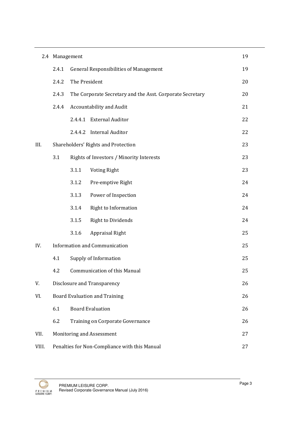|       | 2.4 Management                                      |                                           |                                                           | 19             |  |
|-------|-----------------------------------------------------|-------------------------------------------|-----------------------------------------------------------|----------------|--|
|       | 2.4.1                                               |                                           | <b>General Responsibilities of Management</b>             | 19             |  |
|       | 2.4.2                                               | The President                             |                                                           | 20<br>20<br>21 |  |
|       | 2.4.3                                               |                                           | The Corporate Secretary and the Asst. Corporate Secretary |                |  |
|       | 2.4.4                                               |                                           | Accountability and Audit                                  |                |  |
|       |                                                     | 2.4.4.1                                   | <b>External Auditor</b>                                   | 22             |  |
|       |                                                     |                                           | 2.4.4.2 Internal Auditor                                  | 22             |  |
| III.  |                                                     |                                           | Shareholders' Rights and Protection                       | 23             |  |
|       | 3.1                                                 |                                           | Rights of Investors / Minority Interests                  | 23             |  |
|       |                                                     | 3.1.1                                     | <b>Voting Right</b>                                       | 23             |  |
|       |                                                     | 3.1.2                                     | Pre-emptive Right                                         | 24             |  |
|       |                                                     | 3.1.3                                     | Power of Inspection                                       | 24             |  |
|       |                                                     | 3.1.4                                     | <b>Right to Information</b>                               | 24             |  |
|       |                                                     | 3.1.5                                     | <b>Right to Dividends</b>                                 | 24             |  |
|       |                                                     | 3.1.6                                     | Appraisal Right                                           | 25             |  |
| IV.   | Information and Communication<br>25                 |                                           |                                                           |                |  |
|       | 4.1                                                 | 25<br>Supply of Information               |                                                           |                |  |
|       | 4.2                                                 | <b>Communication of this Manual</b><br>25 |                                                           |                |  |
| V.    | Disclosure and Transparency                         |                                           |                                                           | 26             |  |
| VI.   | <b>Board Evaluation and Training</b>                |                                           |                                                           |                |  |
|       | 6.1                                                 |                                           | <b>Board Evaluation</b>                                   | 26             |  |
|       | 6.2                                                 | Training on Corporate Governance          |                                                           |                |  |
| VII.  | Monitoring and Assessment                           |                                           |                                                           |                |  |
| VIII. | Penalties for Non-Compliance with this Manual<br>27 |                                           |                                                           |                |  |

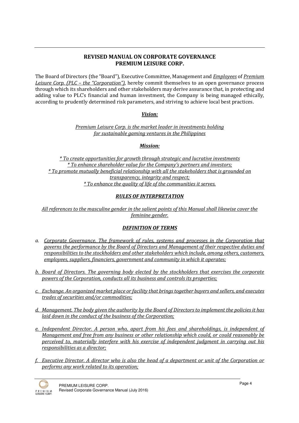# REVISED MANUAL ON CORPORATE GOVERNANCE PREMIUM LEISURE CORP.

The Board of Directors (the "Board"), Executive Committee, Management and *Employees* of *Premium* Leisure Corp. (PLC – the "Corporation"), hereby commit themselves to an open governance process through which its shareholders and other stakeholders may derive assurance that, in protecting and adding value to PLC's financial and human investment, the Company is being managed ethically, according to prudently determined risk parameters, and striving to achieve local best practices.

## Vision:

Premium Leisure Corp. is the market leader in investments holding for sustainable gaming ventures in the Philippines

## Mission:

\* To create opportunities for growth through strategic and lucrative investments \* To enhance shareholder value for the Company's partners and investors; \* To promote mutually beneficial relationship with all the stakeholders that is grounded on transparency, integrity and respect; \* To enhance the quality of life of the communities it serves.

## RULES OF INTERPRETATION

All references to the masculine gender in the salient points of this Manual shall likewise cover the feminine gender.

## DEFINITION OF TERMS

- a. Corporate Governance. The framework of rules, systems and processes in the Corporation that governs the performance by the Board of Directors and Management of their respective duties and responsibilities to the stockholders and other stakeholders which include, among others, customers, employees, suppliers, financiers, government and community in which it operates;
- b. Board of Directors. The governing body elected by the stockholders that exercises the corporate powers of the Corporation, conducts all its business and controls its properties;
- c. Exchange. An organized market place or facility that brings together buyers and sellers, and executes trades of securities and/or commodities;
- d. Management. The body given the authority by the Board of Directors to implement the policies it has laid down in the conduct of the business of the Corporation;
- e. Independent Director. A person who, apart from his fees and shareholdings, is independent of Management and free from any business or other relationship which could, or could reasonably be perceived to, materially interfere with his exercise of independent judgment in carrying out his responsibilities as a director;
- f. Executive Director. A director who is also the head of a department or unit of the Corporation or performs any work related to its operation;

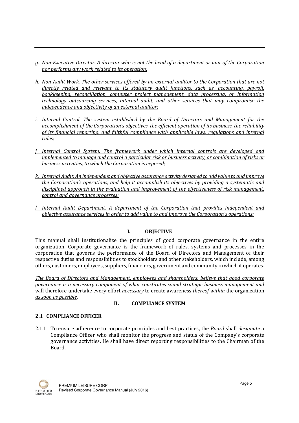- g. Non-Executive Director. A director who is not the head of a department or unit of the Corporation nor performs any work related to its operation;
- h. Non-Audit Work. The other services offered by an external auditor to the Corporation that are not directly related and relevant to its statutory audit functions, such as, accounting, payroll, bookkeeping, reconciliation, computer project management, data processing, or information technology outsourcing services, internal audit, and other services that may compromise the independence and objectivity of an external auditor;
- i. Internal Control. The system established by the Board of Directors and Management for the accomplishment of the Corporation's objectives, the efficient operation of its business, the reliability of its financial reporting, and faithful compliance with applicable laws, regulations and internal rules;
- j. Internal Control System. The framework under which internal controls are developed and implemented to manage and control a particular risk or business activity, or combination of risks or business activities, to which the Corporation is exposed;
- k. Internal Audit. An independent and objective assurance activity designed to add value to and improve the Corporation's operations, and help it accomplish its objectives by providing a systematic and disciplined approach in the evaluation and improvement of the effectiveness of risk management, control and governance processes;
- l. Internal Audit Department. A department of the Corporation that provides independent and objective assurance services in order to add value to and improve the Corporation's operations;

# I. OBJECTIVE

This manual shall institutionalize the principles of good corporate governance in the entire organization. Corporate governance is the framework of rules, systems and processes in the corporation that governs the performance of the Board of Directors and Management of their respective duties and responsibilities to stockholders and other stakeholders, which include, among others, customers, employees, suppliers, financiers, government and community in which it operates.

The Board of Directors and Management, employees and shareholders, believe that good corporate governance is a necessary component of what constitutes sound strategic business management and will therefore undertake every effort *necessary* to create awareness *thereof within* the organization as soon as possible.

## II. COMPLIANCE SYSTEM

# 2.1 COMPLIANCE OFFICER

2.1.1 To ensure adherence to corporate principles and best practices, the *Board* shall *designate* a Compliance Officer who shall monitor the progress and status of the Company's corporate governance activities. He shall have direct reporting responsibilities to the Chairman of the Board.

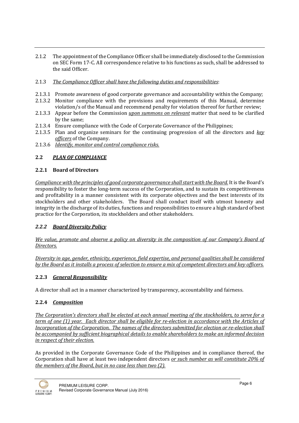2.1.2 The appointment of the Compliance Officer shall be immediately disclosed to the Commission on SEC Form 17-C. All correspondence relative to his functions as such, shall be addressed to the said Officer.

## 2.1.3 The Compliance Officer shall have the following duties and responsibilities:

- 2.1.3.1 Promote awareness of good corporate governance and accountability within the Company;
- 2.1.3.2 Monitor compliance with the provisions and requirements of this Manual, determine
- violation/s of the Manual and recommend penalty for violation thereof for further review;
- 2.1.3.3 Appear before the Commission *upon summons on relevant* matter that need to be clarified by the same;
- 2.1.3.4 Ensure compliance with the Code of Corporate Governance of the Philippines;
- 2.1.3.5 Plan and organize seminars for the continuing progression of all the directors and key officers of the Company.
- 2.1.3.6 Identify, monitor and control compliance risks.

## 2.2 PLAN OF COMPLIANCE

## 2.2.1 Board of Directors

Compliance with the principles of good corporate governance shall start with the Board. It is the Board's responsibility to foster the long-term success of the Corporation, and to sustain its competitiveness and profitability in a manner consistent with its corporate objectives and the best interests of its stockholders and other stakeholders. The Board shall conduct itself with utmost honesty and integrity in the discharge of its duties, functions and responsibilities to ensure a high standard of best practice for the Corporation, its stockholders and other stakeholders.

## 2.2.2 Board Diversity Policy

We value, promote and observe a policy on diversity in the composition of our Company's Board of Directors.

Diversity in age, gender, ethnicity, experience, field expertise, and personal qualities shall be considered by the Board as it installs a process of selection to ensure a mix of competent directors and key officers.

# 2.2.3 General Responsibility

A director shall act in a manner characterized by transparency, accountability and fairness.

# 2.2.4 Composition

The Corporation's directors shall be elected at each annual meeting of the stockholders, to serve for a term of one (1) year. Each director shall be eligible for re-election in accordance with the Articles of Incorporation of the Corporation. The names of the directors submitted for election or re-election shall be accompanied by sufficient biographical details to enable shareholders to make an informed decision in respect of their election.

As provided in the Corporate Governance Code of the Philippines and in compliance thereof, the Corporation shall have at least two independent directors or such number as will constitute 20% of the members of the Board, but in no case less than two (2).

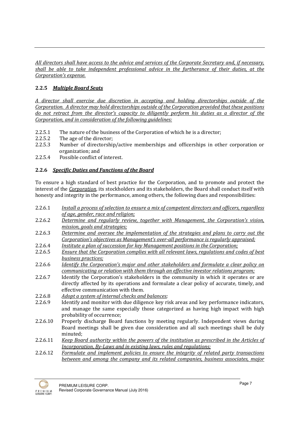All directors shall have access to the advice and services of the Corporate Secretary and, if necessary, shall be able to take independent professional advice in the furtherance of their duties, at the Corporation's expense.

# 2.2.5 Multiple Board Seats

A director shall exercise due discretion in accepting and holding directorships outside of the Corporation. A director may hold directorships outside of the Corporation provided that these positions do not retract from the director's capacity to diligently perform his duties as a director of the Corporation, and in consideration of the following guidelines:

- 2.2.5.1 The nature of the business of the Corporation of which he is a director;
- 2.2.5.2 The age of the director;
- 2.2.5.3 Number of directorship/active memberships and officerships in other corporation or organization; and
- 2.2.5.4 Possible conflict of interest.

## 2.2.6 Specific Duties and Functions of the Board

To ensure a high standard of best practice for the Corporation, and to promote and protect the interest of the Corporation, its stockholders and its stakeholders, the Board shall conduct itself with honesty and integrity in the performance, among others, the following dues and responsibilities:

- 2.2.6.1 Install a process of selection to ensure a mix of competent directors and officers, regardless of age, gender, race and religion;
- 2.2.6.2 Determine and regularly review, together with Management, the Corporation's vision, mission, goals and strategies;
- 2.2.6.3 Determine and oversee the implementation of the strategies and plans to carry out the Corporation's objectives as Management's over-all performance is regularly appraised;
- 2.2.6.4 Institute a plan of succession for key Management positions in the Corporation;
- 2.2.6.5 Ensure that the Corporation complies with all relevant laws, regulations and codes of best business practices;
- 2.2.6.6 Identify the Corporation's major and other stakeholders and formulate a clear policy on communicating or relation with them through an effective investor relations program;
- 2.2.6.7 Identify the Corporation's stakeholders in the community in which it operates or are directly affected by its operations and formulate a clear policy of accurate, timely, and effective communication with them.
- 2.2.6.8 Adopt a system of internal checks and balances;
- 2.2.6.9 Identify and monitor with due diligence key risk areas and key performance indicators, and manage the same especially those categorized as having high impact with high probability of occurrence;
- 2.2.6.10 Properly discharge Board functions by meeting regularly. Independent views during Board meetings shall be given due consideration and all such meetings shall be duly minuted;
- 2.2.6.11 Keep Board authority within the powers of the institution as prescribed in the Articles of Incorporation, By-Laws and in existing laws, rules and regulations;
- 2.2.6.12 Formulate and implement policies to ensure the integrity of related party transactions between and among the company and its related companies, business associates, major

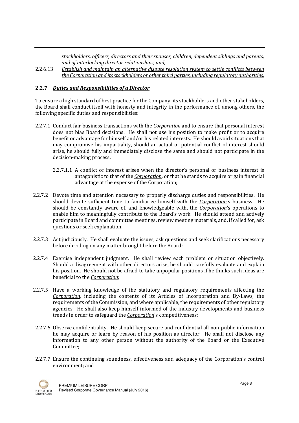stockholders, officers, directors and their spouses, children, dependent siblings and parents, and of interlocking director relationships, and;

2.2.6.13 Establish and maintain an alternative dispute resolution system to settle conflicts between the Corporation and its stockholders or other third parties, including regulatory authorities.

## 2.2.7 Duties and Responsibilities of a Director

To ensure a high standard of best practice for the Company, its stockholders and other stakeholders, the Board shall conduct itself with honesty and integrity in the performance of, among others, the following specific duties and responsibilities:

- 2.2.7.1 Conduct fair business transactions with the *Corporation* and to ensure that personal interest does not bias Board decisions. He shall not use his position to make profit or to acquire benefit or advantage for himself and/or his related interests. He should avoid situations that may compromise his impartiality, should an actual or potential conflict of interest should arise, he should fully and immediately disclose the same and should not participate in the decision-making process.
	- 2.2.7.1.1 A conflict of interest arises when the director's personal or business interest is antagonistic to that of the Corporation, or that he stands to acquire or gain financial advantage at the expense of the Corporation;
- 2.2.7.2 Devote time and attention necessary to properly discharge duties and responsibilities. He should devote sufficient time to familiarize himself with the *Corporation's* business. He should be constantly aware of, and knowledgeable with, the Corporation's operations to enable him to meaningfully contribute to the Board's work. He should attend and actively participate in Board and committee meetings, review meeting materials, and, if called for, ask questions or seek explanation.
- 2.2.7.3 Act judiciously. He shall evaluate the issues, ask questions and seek clarifications necessary before deciding on any matter brought before the Board;
- 2.2.7.4 Exercise independent judgment. He shall review each problem or situation objectively. Should a disagreement with other directors arise, he should carefully evaluate and explain his position. He should not be afraid to take unpopular positions if he thinks such ideas are beneficial to the Corporation;
- 2.2.7.5 Have a working knowledge of the statutory and regulatory requirements affecting the Corporation, including the contents of its Articles of Incorporation and By-Laws, the requirements of the Commission, and where applicable, the requirements of other regulatory agencies. He shall also keep himself informed of the industry developments and business trends in order to safeguard the *Corporation'*s competitiveness;
- 2.2.7.6 Observe confidentiality. He should keep secure and confidential all non-public information he may acquire or learn by reason of his position as director. He shall not disclose any information to any other person without the authority of the Board or the Executive Committee;
- 2.2.7.7 Ensure the continuing soundness, effectiveness and adequacy of the Corporation's control environment; and

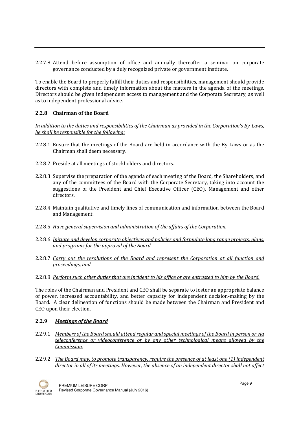2.2.7.8 Attend before assumption of office and annually thereafter a seminar on corporate governance conducted by a duly recognized private or government institute.

To enable the Board to properly fulfill their duties and responsibilities, management should provide directors with complete and timely information about the matters in the agenda of the meetings. Directors should be given independent access to management and the Corporate Secretary, as well as to independent professional advice.

## 2.2.8 Chairman of the Board

In addition to the duties and responsibilities of the Chairman as provided in the Corporation's By-Laws, he shall be responsible for the following:

- 2.2.8.1 Ensure that the meetings of the Board are held in accordance with the By-Laws or as the Chairman shall deem necessary.
- 2.2.8.2 Preside at all meetings of stockholders and directors.
- 2.2.8.3 Supervise the preparation of the agenda of each meeting of the Board, the Shareholders, and any of the committees of the Board with the Corporate Secretary, taking into account the suggestions of the President and Chief Executive Officer (CEO), Management and other directors.
- 2.2.8.4 Maintain qualitative and timely lines of communication and information between the Board and Management.
- 2.2.8.5 Have general supervision and administration of the affairs of the Corporation.
- 2.2.8.6 Initiate and develop corporate objectives and policies and formulate long range projects, plans, and programs for the approval of the Board
- 2.2.8.7 Carry out the resolutions of the Board and represent the Corporation at all function and proceedings, and
- 2.2.8.8 Perform such other duties that are incident to his office or are entrusted to him by the Board.

The roles of the Chairman and President and CEO shall be separate to foster an appropriate balance of power, increased accountability, and better capacity for independent decision-making by the Board. A clear delineation of functions should be made between the Chairman and President and CEO upon their election.

# 2.2.9 Meetings of the Board

- 2.2.9.1 Members of the Board should attend regular and special meetings of the Board in person or via teleconference or videoconference or by any other technological means allowed by the Commission.
- 2.2.9.2 The Board may, to promote transparency, require the presence of at least one (1) independent director in all of its meetings. However, the absence of an independent director shall not affect

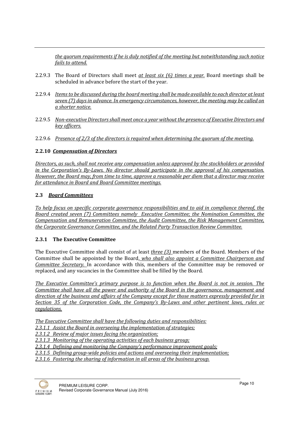the quorum requirements if he is duly notified of the meeting but notwithstanding such notice fails to attend.

- 2.2.9.3 The Board of Directors shall meet at least six (6) times a year. Board meetings shall be scheduled in advance before the start of the year.
- 2.2.9.4 Items to be discussed during the board meeting shall be made available to each director at least seven (7) days in advance. In emergency circumstances, however, the meeting may be called on a shorter notice.
- 2.2.9.5 Non-executive Directors shall meet once a year without the presence of Executive Directors and key officers.
- 2.2.9.6 Presence of 2/3 of the directors is required when determining the quorum of the meeting.

## 2.2.10 Compensation of Directors

Directors, as such, shall not receive any compensation unless approved by the stockholders or provided in the Corporation's By-Laws. No director should participate in the approval of his compensation. However, the Board may, from time to time, approve a reasonable per diem that a director may receive for attendance in Board and Board Committee meetings.

## 2.3 Board Committees

To help focus on specific corporate governance responsibilities and to aid in compliance thereof, the Board created seven (7) Committees namely Executive Committee; the Nomination Committee, the Compensation and Remuneration Committee, the Audit Committee, the Risk Management Committee, the Corporate Governance Committee, and the Related Party Transaction Review Committee.

## 2.3.1 The Executive Committee

The Executive Committee shall consist of at least three (3) members of the Board. Members of the Committee shall be appointed by the Board, who shall also appoint a Committee Chairperson and Committee Secretary. In accordance with this, members of the Committee may be removed or replaced, and any vacancies in the Committee shall be filled by the Board.

The Executive Committee's primary purpose is to function when the Board is not in session. The Committee shall have all the power and authority of the Board in the governance, management and direction of the business and affairs of the Company except for those matters expressly provided for in Section 35 of the Corporation Code, the Company's By-Laws and other pertinent laws, rules or regulations.

The Executive Committee shall have the following duties and responsibilities:

2.3.1.1 Assist the Board in overseeing the implementation of strategies;

2.3.1.2 Review of major issues facing the organization:

2.3.1.3 Monitoring of the operating activities of each business group;

2.3.1.4 Defining and monitoring the Company's performance improvement goals;

2.3.1.5 Defining group-wide policies and actions and overseeing their implementation;

2.3.1.6 Fostering the sharing of information in all areas of the business group.

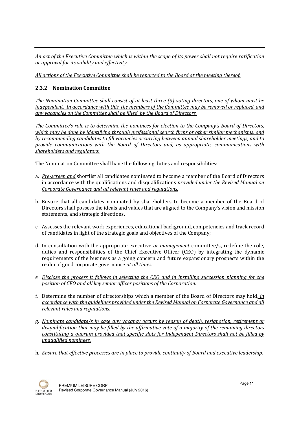An act of the Executive Committee which is within the scope of its power shall not require ratification or approval for its validity and effectivity.

All actions of the Executive Committee shall be reported to the Board at the meeting thereof.

## 2.3.2 Nomination Committee

The Nomination Committee shall consist of at least three (3) voting directors, one of whom must be independent. In accordance with this, the members of the Committee may be removed or replaced, and any vacancies on the Committee shall be filled, by the Board of Directors.

The Committee's role is to determine the nominees for election to the Company's Board of Directors, which may be done by identifying through professional search firms or other similar mechanisms, and by recommending candidates to fill vacancies occurring between annual shareholder meetings, and to provide communications with the Board of Directors and, as appropriate, communications with shareholders and regulators.

The Nomination Committee shall have the following duties and responsibilities:

- a. Pre-screen and shortlist all candidates nominated to become a member of the Board of Directors in accordance with the qualifications and disqualifications provided under the Revised Manual on Corporate Governance and all relevant rules and regulations.
- b. Ensure that all candidates nominated by shareholders to become a member of the Board of Directors shall possess the ideals and values that are aligned to the Company's vision and mission statements, and strategic directions.
- c. Assesses the relevant work experiences, educational background, competencies and track record of candidates in light of the strategic goals and objectives of the Company;
- d. In consultation with the appropriate executive  $or management committee/s, redefine the role,$ </u> duties and responsibilities of the Chief Executive Officer (CEO) by integrating the dynamic requirements of the business as a going concern and future expansionary prospects within the realm of good corporate governance at all times.
- e. Disclose the process it follows in selecting the CEO and in installing succession planning for the position of CEO and all key senior officer positions of the Corporation.
- f. Determine the number of directorships which a member of the Board of Directors may hold, in accordance with the guidelines provided under the Revised Manual on Corporate Governance and all relevant rules and regulations.
- g. Nominate candidate/s in case any vacancy occurs by reason of death, resignation, retirement or disqualification that may be filled by the affirmative vote of a majority of the remaining directors constituting a quorum provided that specific slots for Independent Directors shall not be filled by unqualified nominees.
- h. Ensure that effective processes are in place to provide continuity of Board and executive leadership.

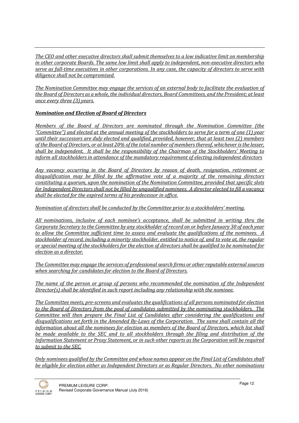The CEO and other executive directors shall submit themselves to a low indicative limit on membership in other corporate Boards. The same low limit shall apply to independent, non-executive directors who serve as full-time executives in other corporations. In any case, the capacity of directors to serve with diligence shall not be compromised.

The Nomination Committee may engage the services of an external body to facilitate the evaluation of the Board of Directors as a whole, the individual directors, Board Committees, and the President; at least once every three (3) years.

# Nomination and Election of Board of Directors

Members of the Board of Directors are nominated through the Nomination Committee (the "Committee") and elected at the annual meeting of the stockholders to serve for a term of one (1) year until their successors are duly elected and qualified, provided, however, that at least two (2) members of the Board of Directors, or at least 20% of the total number of members thereof, whichever is the lesser, shall be independent. It shall be the responsibility of the Chairman of the Stockholders' Meeting to inform all stockholders in attendance of the mandatory requirement of electing independent directors

Any vacancy occurring in the Board of Directors by reason of death, resignation, retirement or disqualification may be filled by the affirmative vote of a majority of the remaining directors constituting a quorum, upon the nomination of the Nomination Committee, provided that specific slots for Independent Directors shall not be filled by unqualified nominees. A director elected to fill a vacancy shall be elected for the expired terms of his predecessor in office.

Nomination of directors shall be conducted by the Committee prior to a stockholders' meeting.

All nominations, inclusive of each nominee's acceptance, shall be submitted in writing thru the Corporate Secretary to the Committee by any stockholder of record on or before January 30 of each year to allow the Committee sufficient time to assess and evaluate the qualifications of the nominees. A stockholder of record, including a minority stockholder, entitled to notice of, and to vote at, the regular or special meeting of the stockholders for the election of directors shall be qualified to be nominated for election as a director.

The Committee may engage the services of professional search firms or other reputable external sources when searching for candidates for election to the Board of Directors.

The name of the person or group of persons who recommended the nomination of the Independent Director(s) shall be identified in such report including any relationship with the nominee.

The Committee meets, pre-screens and evaluates the qualifications of all persons nominated for election to the Board of Directors from the pool of candidates submitted by the nominating stockholders. The Committee will then prepare the Final List of Candidates after considering the qualifications and disqualifications set forth in the Amended By-Laws of the Corporation. The same shall contain all the information about all the nominees for election as members of the Board of Directors, which list shall be made available to the SEC and to all stockholders through the filing and distribution of the Information Statement or Proxy Statement, or in such other reports as the Corporation will be required to submit to the SEC.

Only nominees qualified by the Committee and whose names appear on the Final List of Candidates shall be eligible for election either as Independent Directors or as Regular Directors. No other nominations

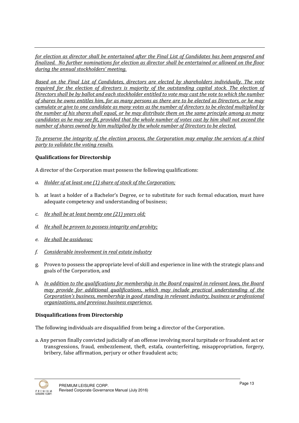for election as director shall be entertained after the Final List of Candidates has been prepared and finalized. No further nominations for election as director shall be entertained or allowed on the floor during the annual stockholders' meeting.

Based on the Final List of Candidates, directors are elected by shareholders individually. The vote required for the election of directors is majority of the outstanding capital stock. The election of Directors shall be by ballot and each stockholder entitled to vote may cast the vote to which the number of shares he owns entitles him, for as many persons as there are to be elected as Directors, or he may cumulate or give to one candidate as many votes as the number of directors to be elected multiplied by the number of his shares shall equal, or he may distribute them on the same principle among as many candidates as he may see fit, provided that the whole number of votes cast by him shall not exceed the number of shares owned by him multiplied by the whole number of Directors to be elected.

To preserve the integrity of the election process, the Corporation may employ the services of a third party to validate the voting results.

## Qualifications for Directorship

A director of the Corporation must possess the following qualifications:

- a. Holder of at least one (1) share of stock of the Corporation;
- b. at least a holder of a Bachelor's Degree, or to substitute for such formal education, must have adequate competency and understanding of business;
- c. He shall be at least twenty one (21) years old;
- d. He shall be proven to possess integrity and probity;
- e. He shall be assiduous;
- f. Considerable involvement in real estate industry
- g. Proven to possess the appropriate level of skill and experience in line with the strategic plans and goals of the Corporation, and
- h. In addition to the qualifications for membership in the Board required in relevant laws, the Board may provide for additional qualifications, which may include practical understanding of the Corporation's business, membership in good standing in relevant industry, business or professional organizations, and previous business experience.

## Disqualifications from Directorship

The following individuals are disqualified from being a director of the Corporation.

a. Any person finally convicted judicially of an offense involving moral turpitude or fraudulent act or transgressions, fraud, embezzlement, theft, estafa, counterfeiting, misappropriation, forgery, bribery, false affirmation, perjury or other fraudulent acts;

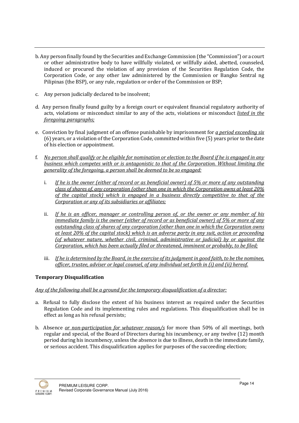- b. Any person finally found by the Securities and Exchange Commission (the "Commission") or a court or other administrative body to have willfully violated, or willfully aided, abetted, counseled, induced or procured the violation of any provision of the Securities Regulation Code, the Corporation Code, or any other law administered by the Commission or Bangko Sentral ng Pilipinas (the BSP), or any rule, regulation or order of the Commission or BSP;
- c. Any person judicially declared to be insolvent;
- d. Any person finally found guilty by a foreign court or equivalent financial regulatory authority of acts, violations or misconduct similar to any of the acts, violations or misconduct listed in the foregoing paragraphs;
- e. Conviction by final judgment of an offense punishable by imprisonment for a period exceeding six (6) years, or a violation of the Corporation Code, committed within five (5) years prior to the date of his election or appointment.
- f. No person shall qualify or be eligible for nomination or election to the Board if he is engaged in any business which competes with or is antagonistic to that of the Corporation. Without limiting the generality of the foregoing, a person shall be deemed to be so engaged:
	- i. If he is the owner (either of record or as beneficial owner) of 5% or more of any outstanding class of shares of, any corporation (other than one in which the Corporation owns at least 20% of the capital stock) which is engaged in a business directly competitive to that of the Corporation or any of its subsidiaries or affiliates;
	- ii. If he is an officer, manager or controlling person of, or the owner or any member of his immediate family is the owner (either of record or as beneficial owner) of 5% or more of any outstanding class of shares of any corporation (other than one in which the Corporation owns at least 20% of the capital stock) which is an adverse party in any suit, action or proceeding (of whatever nature, whether civil, criminal, administrative or judicial) by or against the Corporation, which has been actually filed or threatened, imminent or probably, to be filed;
	- iii. If he is determined by the Board, in the exercise of its judgment in good faith, to be the nominee, officer, trustee, adviser or legal counsel, of any individual set forth in (i) and (ii) hereof.

# Temporary Disqualification

# Any of the following shall be a ground for the temporary disqualification of a director:

- a. Refusal to fully disclose the extent of his business interest as required under the Securities Regulation Code and its implementing rules and regulations. This disqualification shall be in effect as long as his refusal persists;
- b. Absence or non-participation for whatever reason/s for more than 50% of all meetings, both regular and special, of the Board of Directors during his incumbency, or any twelve (12) month period during his incumbency, unless the absence is due to illness, death in the immediate family, or serious accident. This disqualification applies for purposes of the succeeding election;

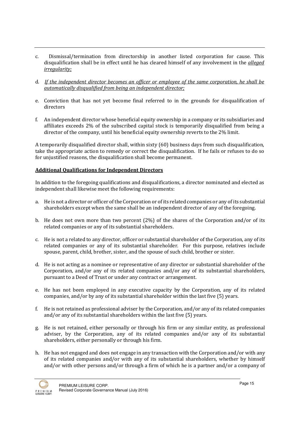- c. Dismissal/termination from directorship in another listed corporation for cause. This disqualification shall be in effect until he has cleared himself of any involvement in the *alleged* irregularity;
- d. If the independent director becomes an officer or employee of the same corporation, he shall be automatically disqualified from being an independent director;
- e. Conviction that has not yet become final referred to in the grounds for disqualification of directors
- f. An independent director whose beneficial equity ownership in a company or its subsidiaries and affiliates exceeds 2% of the subscribed capital stock is temporarily disqualified from being a director of the company, until his beneficial equity ownership reverts to the 2% limit.

A temporarily disqualified director shall, within sixty (60) business days from such disqualification, take the appropriate action to remedy or correct the disqualification. If he fails or refuses to do so for unjustified reasons, the disqualification shall become permanent.

## Additional Qualifications for Independent Directors

In addition to the foregoing qualifications and disqualifications, a director nominated and elected as independent shall likewise meet the following requirements:

- a. He is not a director or officer of the Corporation or of its related companies or any of its substantial shareholders except when the same shall be an independent director of any of the foregoing.
- b. He does not own more than two percent (2%) of the shares of the Corporation and/or of its related companies or any of its substantial shareholders.
- c. He is not a related to any director, officer or substantial shareholder of the Corporation, any of its related companies or any of its substantial shareholder. For this purpose, relatives include spouse, parent, child, brother, sister, and the spouse of such child, brother or sister.
- d. He is not acting as a nominee or representative of any director or substantial shareholder of the Corporation, and/or any of its related companies and/or any of its substantial shareholders, pursuant to a Deed of Trust or under any contract or arrangement.
- e. He has not been employed in any executive capacity by the Corporation, any of its related companies, and/or by any of its substantial shareholder within the last five (5) years.
- f. He is not retained as professional adviser by the Corporation, and/or any of its related companies and/or any of its substantial shareholders within the last five (5) years.
- g. He is not retained, either personally or through his firm or any similar entity, as professional adviser, by the Corporation, any of its related companies and/or any of its substantial shareholders, either personally or through his firm.
- h. He has not engaged and does not engage in any transaction with the Corporation and/or with any of its related companies and/or with any of its substantial shareholders, whether by himself and/or with other persons and/or through a firm of which he is a partner and/or a company of

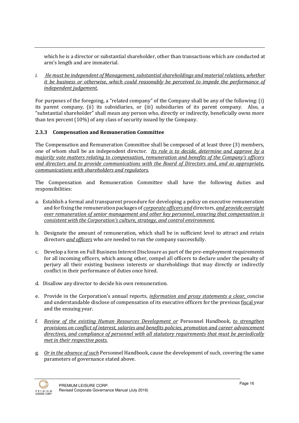which he is a director or substantial shareholder, other than transactions which are conducted at arm's length and are immaterial.

i. He must be independent of Management, substantial shareholdings and material relations, whether it be business or otherwise, which could reasonably be perceived to impede the performance of independent judgement.

For purposes of the foregoing, a "related company" of the Company shall be any of the following: (i) its parent company, (ii) its subsidiaries, or (iii) subsidiaries of its parent company. Also, a "substantial shareholder" shall mean any person who, directly or indirectly, beneficially owns more than ten percent (10%) of any class of security issued by the Company.

## 2.3.3 Compensation and Remuneration Committee

The Compensation and Remuneration Committee shall be composed of at least three (3) members, one of whom shall be an independent director. *Its role is to decide, determine and approve by a* majority vote matters relating to compensation, remuneration and benefits of the Company's officers and directors and to provide communications with the Board of Directors and, and as appropriate, communications with shareholders and regulators.

The Compensation and Remuneration Committee shall have the following duties and responsibilities:

- a. Establish a formal and transparent procedure for developing a policy on executive remuneration and for fixing the remuneration packages of corporate officers and directors, and provide oversight over remuneration of senior management and other key personnel, ensuring that compensation is consistent with the Corporation's culture, strategy, and control environment.
- b. Designate the amount of remuneration, which shall be in sufficient level to attract and retain directors and officers who are needed to run the company successfully.
- c. Develop a form on Full Business Interest Disclosure as part of the pre-employment requirements for all incoming officers, which among other, compel all officers to declare under the penalty of perjury all their existing business interests or shareholdings that may directly or indirectly conflict in their performance of duties once hired.
- d. Disallow any director to decide his own remuneration.
- e. Provide in the Corporation's annual reports, *information and proxy statements a clear*, concise and understandable disclose of compensation of its executive officers for the previous fiscal year and the ensuing year.
- f. Review of the existing Human Resources Development or Personnel Handbook, to strengthen provisions on conflict of interest, salaries and benefits policies, promotion and career advancement directives, and compliance of personnel with all statutory requirements that must be periodically met in their respective posts.
- g. Or in the absence of such Personnel Handbook, cause the development of such, covering the same parameters of governance stated above.

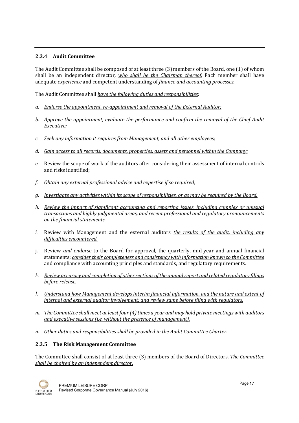## 2.3.4 Audit Committee

The Audit Committee shall be composed of at least three (3) members of the Board, one (1) of whom shall be an independent director, who shall be the Chairman thereof. Each member shall have adequate experience and competent understanding of *finance and accounting processes*.

The Audit Committee shall have the following duties and responsibilities:

- a. Endorse the appointment, re-appointment and removal of the External Auditor;
- b. Approve the appointment, evaluate the performance and confirm the removal of the Chief Audit Executive;
- c. Seek any information it requires from Management, and all other employees;
- d. Gain access to all records, documents, properties, assets and personnel within the Company;
- e. Review the scope of work of the auditors after considering their assessment of internal controls and risks identified;
- f. Obtain any external professional advice and expertise if so required;
- g. Investigate any activities within its scope of responsibilities, or as may be required by the Board.
- h. Review the impact of significant accounting and reporting issues, including complex or unusual transactions and highly judgmental areas, and recent professional and regulatory pronouncements on the financial statements.
- i. Review with Management and the external auditors the results of the audit, including any difficulties encountered.
- j. Review and endorse to the Board for approval, the quarterly, mid-year and annual financial statements; consider their completeness and consistency with information known to the Committee and compliance with accounting principles and standards, and regulatory requirements.
- k. Review accuracy and completion of other sections of the annual report and related regulatory filings before release.
- l. Understand how Management develops interim financial information, and the nature and extent of internal and external auditor involvement; and review same before filing with regulators.
- m. The Committee shall meet at least four (4) times a year and may hold private meetings with auditors and executive sessions (i.e. without the presence of management).
- n. Other duties and responsibilities shall be provided in the Audit Committee Charter.

## 2.3.5 The Risk Management Committee

The Committee shall consist of at least three (3) members of the Board of Directors. The Committee shall be chaired by an independent director.

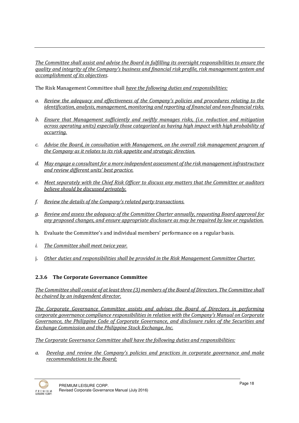The Committee shall assist and advise the Board in fulfilling its oversight responsibilities to ensure the quality and integrity of the Company's business and financial risk profile, risk management system and accomplishment of its objectives.

The Risk Management Committee shall have the following duties and responsibilities:

- a. Review the adequacy and effectiveness of the Company's policies and procedures relating to the identification, analysis, management, monitoring and reporting of financial and non-financial risks.
- b. Ensure that Management sufficiently and swiftly manages risks, (i.e. reduction and mitigation across operating units) especially those categorized as having high impact with high probability of occurring.
- c. Advise the Board, in consultation with Management, on the overall risk management program of the Company as it relates to its risk appetite and strategic direction.
- d. May engage a consultant for a more independent assessment of the risk management infrastructure and review different units' best practice.
- e. Meet separately with the Chief Risk Officer to discuss any matters that the Committee or auditors believe should be discussed privately.
- f. Review the details of the Company's related party transactions.
- g. Review and assess the adequacy of the Committee Charter annually, requesting Board approval for any proposed changes, and ensure appropriate disclosure as may be required by law or regulation.
- h. Evaluate the Committee's and individual members' performance on a regular basis.
- i. The Committee shall meet twice year.
- j. Other duties and responsibilities shall be provided in the Risk Management Committee Charter.

# 2.3.6 The Corporate Governance Committee

The Committee shall consist of at least three (3) members of the Board of Directors. The Committee shall be chaired by an independent director.

The Corporate Governance Committee assists and advises the Board of Directors in performing corporate governance compliance responsibilities in relation with the Company's Manual on Corporate Governance, the Philippine Code of Corporate Governance, and disclosure rules of the Securities and Exchange Commission and the Philippine Stock Exchange, Inc.

The Corporate Governance Committee shall have the following duties and responsibilities:

a. Develop and review the Company's policies and practices in corporate governance and make recommendations to the Board;

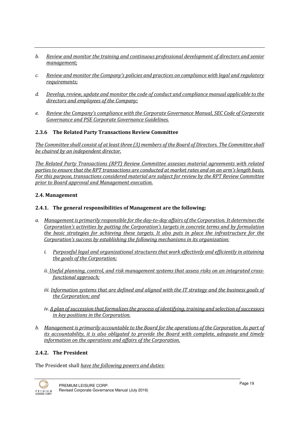- b. Review and monitor the training and continuous professional development of directors and senior management;
- c. Review and monitor the Company's policies and practices on compliance with legal and regulatory requirements:
- d. Develop, review, update and monitor the code of conduct and compliance manual applicable to the directors and employees of the Company;
- e. Review the Company's compliance with the Corporate Governance Manual, SEC Code of Corporate Governance and PSE Corporate Governance Guidelines.

## 2.3.6 The Related Party Transactions Review Committee

The Committee shall consist of at least three (3) members of the Board of Directors. The Committee shall be chaired by an independent director.

The Related Party Transactions (RPT) Review Committee assesses material agreements with related parties to ensure that the RPT transactions are conducted at market rates and on an arm's length basis. For this purpose, transactions considered material are subject for review by the RPT Review Committee prior to Board approval and Management execution.

#### 2.4. Management

#### 2.4.1. The general responsibilities of Management are the following:

- a. Management is primarily responsible for the day-to-day affairs of the Corporation. It determines the Corporation's activities by putting the Corporation's targets in concrete terms and by formulation the basic strategies for achieving these targets. It also puts in place the infrastructure for the Corporation's success by establishing the following mechanisms in its organization:
	- i. Purposeful legal and organizational structures that work effectively and efficiently in attaining the goals of the Corporation;
	- ii. Useful planning, control, and risk management systems that assess risks on an integrated crossfunctional approach;
	- iii. Information systems that are defined and aligned with the IT strategy and the business goals of the Corporation; and
	- iv. A plan of succession that formalizes the process of identifying, training and selection of successors in key positions in the Corporation.
- b. Management is primarily accountable to the Board for the operations of the Corporation. As part of its accountability, it is also obligated to provide the Board with complete, adequate and timely information on the operations and affairs of the Corporation.

#### 2.4.2. The President

The President shall have the following powers and duties:

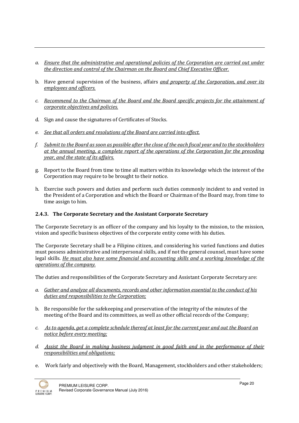- a. Ensure that the administrative and operational policies of the Corporation are carried out under the direction and control of the Chairman on the Board and Chief Executive Officer.
- b. Have general supervision of the business, affairs and property of the Corporation, and over its employees and officers.
- c. Recommend to the Chairman of the Board and the Board specific projects for the attainment of corporate objectives and policies.
- d. Sign and cause the signatures of Certificates of Stocks.
- e. See that all orders and resolutions of the Board are carried into effect.
- f. Submit to the Board as soon as possible after the close of the each fiscal year and to the stockholders at the annual meeting, a complete report of the operations of the Corporation for the preceding year, and the state of its affairs.
- g. Report to the Board from time to time all matters within its knowledge which the interest of the Corporation may require to be brought to their notice.
- h. Exercise such powers and duties and perform such duties commonly incident to and vested in the President of a Corporation and which the Board or Chairman of the Board may, from time to time assign to him.

## 2.4.3. The Corporate Secretary and the Assistant Corporate Secretary

The Corporate Secretary is an officer of the company and his loyalty to the mission, to the mission, vision and specific business objectives of the corporate entity come with his duties.

The Corporate Secretary shall be a Filipino citizen, and considering his varied functions and duties must possess administrative and interpersonal skills, and if not the general counsel, must have some legal skills. He must also have some financial and accounting skills and a working knowledge of the operations of the company.

The duties and responsibilities of the Corporate Secretary and Assistant Corporate Secretary are:

- a. Gather and analyze all documents, records and other information essential to the conduct of his duties and responsibilities to the Corporation;
- b. Be responsible for the safekeeping and preservation of the integrity of the minutes of the meeting of the Board and its committees, as well as other official records of the Company;
- c. As to agenda, get a complete schedule thereof at least for the current year and out the Board on notice before every meeting;
- d. Assist the Board in making business judgment in good faith and in the performance of their responsibilities and obligations;
- e. Work fairly and objectively with the Board, Management, stockholders and other stakeholders;

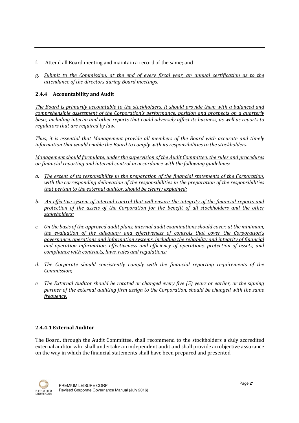- f. Attend all Board meeting and maintain a record of the same; and
- g. Submit to the Commission, at the end of every fiscal year, an annual certification as to the attendance of the directors during Board meetings.

## 2.4.4 Accountability and Audit

The Board is primarily accountable to the stockholders. It should provide them with a balanced and comprehensible assessment of the Corporation's performance, position and prospects on a quarterly basis, including interim and other reports that could adversely affect its business, as well as reports to regulators that are required by law.

Thus, it is essential that Management provide all members of the Board with accurate and timely information that would enable the Board to comply with its responsibilities to the stockholders.

Management should formulate, under the supervision of the Audit Committee, the rules and procedures on financial reporting and internal control in accordance with the following guidelines:

- a. The extent of its responsibility in the preparation of the financial statements of the Corporation, with the corresponding delineation of the responsibilities in the preparation of the responsibilities that pertain to the external auditor, should be clearly explained;
- b. An effective system of internal control that will ensure the integrity of the financial reports and protection of the assets of the Corporation for the benefit of all stockholders and the other stakeholders;
- c. On the basis of the approved audit plans, internal audit examinations should cover, at the minimum, the evaluation of the adequacy and effectiveness of controls that cover the Corporation's governance, operations and information systems, including the reliability and integrity of financial and operation information, effectiveness and efficiency of operations, protection of assets, and compliance with contracts, laws, rules and regulations;
- d. The Corporate should consistently comply with the financial reporting requirements of the Commission;
- e. The External Auditor should be rotated or changed every five (5) years or earlier, or the signing partner of the external auditing firm assign to the Corporation, should be changed with the same frequency.

## 2.4.4.1 External Auditor

The Board, through the Audit Committee, shall recommend to the stockholders a duly accredited external auditor who shall undertake an independent audit and shall provide an objective assurance on the way in which the financial statements shall have been prepared and presented.

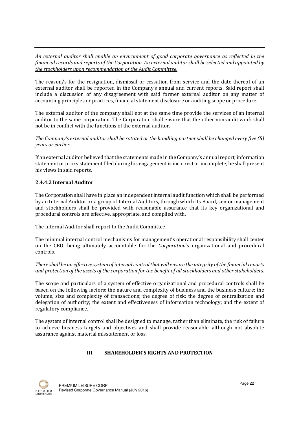An external auditor shall enable an environment of good corporate governance as reflected in the financial records and reports of the Corporation. An external auditor shall be selected and appointed by the stockholders upon recommendation of the Audit Committee.

The reason/s for the resignation, dismissal or cessation from service and the date thereof of an external auditor shall be reported in the Company's annual and current reports. Said report shall include a discussion of any disagreement with said former external auditor on any matter of accounting principles or practices, financial statement disclosure or auditing scope or procedure.

The external auditor of the company shall not at the same time provide the services of an internal auditor to the same corporation. The Corporation shall ensure that the other non-audit work shall not be in conflict with the functions of the external auditor.

#### The Company's external auditor shall be rotated or the handling partner shall be changed every five (5) years or earlier.

If an external auditor believed that the statements made in the Company's annual report, information statement or proxy statement filed during his engagement is incorrect or incomplete, he shall present his views in said reports.

# 2.4.4.2 Internal Auditor

The Corporation shall have in place an independent internal audit function which shall be performed by an Internal Auditor or a group of Internal Auditors, through which its Board, senior management and stockholders shall be provided with reasonable assurance that its key organizational and procedural controls are effective, appropriate, and complied with.

The Internal Auditor shall report to the Audit Committee.

The minimal internal control mechanisms for management's operational responsibility shall center on the CEO, being ultimately accountable for the Corporation's organizational and procedural controls.

#### There shall be an effective system of internal control that will ensure the integrity of the financial reports and protection of the assets of the corporation for the benefit of all stockholders and other stakeholders.

The scope and particulars of a system of effective organizational and procedural controls shall be based on the following factors: the nature and complexity of business and the business culture; the volume, size and complexity of transactions; the degree of risk; the degree of centralization and delegation of authority; the extent and effectiveness of information technology; and the extent of regulatory compliance.

The system of internal control shall be designed to manage, rather than eliminate, the risk of failure to achieve business targets and objectives and shall provide reasonable, although not absolute assurance against material misstatement or loss.

# III. SHAREHOLDER'S RIGHTS AND PROTECTION

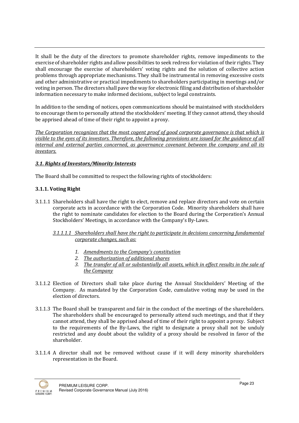It shall be the duty of the directors to promote shareholder rights, remove impediments to the exercise of shareholder rights and allow possibilities to seek redress for violation of their rights. They shall encourage the exercise of shareholders' voting rights and the solution of collective action problems through appropriate mechanisms. They shall be instrumental in removing excessive costs and other administrative or practical impediments to shareholders participating in meetings and/or voting in person. The directors shall pave the way for electronic filing and distribution of shareholder information necessary to make informed decisions, subject to legal constraints.

In addition to the sending of notices, open communications should be maintained with stockholders to encourage them to personally attend the stockholders' meeting. If they cannot attend, they should be apprised ahead of time of their right to appoint a proxy.

The Corporation recognizes that the most cogent proof of good corporate governance is that which is visible to the eyes of its investors. Therefore, the following provisions are issued for the guidance of all internal and external parties concerned, as governance covenant between the company and all its investors.

# 3.1. Rights of Investors/Minority Interests

The Board shall be committed to respect the following rights of stockholders:

# 3.1.1. Voting Right

3.1.1.1 Shareholders shall have the right to elect, remove and replace directors and vote on certain corporate acts in accordance with the Corporation Code. Minority shareholders shall have the right to nominate candidates for election to the Board during the Corporation's Annual Stockholders' Meetings, in accordance with the Company's By-Laws.

## 3.1.1.1.1 Shareholders shall have the right to participate in decisions concerning fundamental corporate changes, such as:

- 1. Amendments to the Company's constitution
- 2. The authorization of additional shares
- 3. The transfer of all or substantially all assets, which in effect results in the sale of the Company
- 3.1.1.2 Election of Directors shall take place during the Annual Stockholders' Meeting of the Company. As mandated by the Corporation Code, cumulative voting may be used in the election of directors.
- 3.1.1.3 The Board shall be transparent and fair in the conduct of the meetings of the shareholders. The shareholders shall be encouraged to personally attend such meetings, and that if they cannot attend, they shall be apprised ahead of time of their right to appoint a proxy. Subject to the requirements of the By-Laws, the right to designate a proxy shall not be unduly restricted and any doubt about the validity of a proxy should be resolved in favor of the shareholder.
- 3.1.1.4 A director shall not be removed without cause if it will deny minority shareholders representation in the Board.

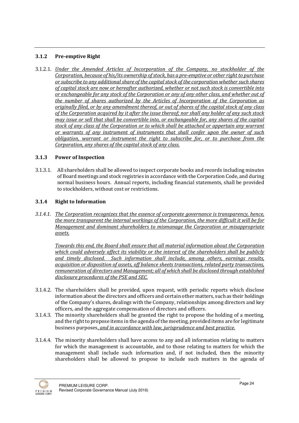## 3.1.2 Pre-emptive Right

3.1.2.1. Under the Amended Articles of Incorporation of the Company, no stockholder of the Corporation, because of his/its ownership of stock, has a pre-emptive or other right to purchase or subscribe to any additional share of the capital stock of the corporation whether such shares of capital stock are now or hereafter authorized, whether or not such stock is convertible into or exchangeable for any stock of the Corporation or any of any other class, and whether out of the number of shares authorized by the Articles of Incorporation of the Corporation as originally filed, or by any amendment thereof, or out of shares of the capital stock of any class of the Corporation acquired by it after the issue thereof; nor shall any holder of any such stock may issue or sell that shall be convertible into, or exchangeable for, any shares of the capital stock of any class of the Corporation or to which shall be attached or appertain any warrant or warrants of any instrument of instruments that shall confer upon the owner of such obligation, warrant or instrument the right to subscribe for, or to purchase from the Corporation, any shares of the capital stock of any class.

## 3.1.3 Power of Inspection

3.1.3.1. All shareholders shall be allowed to inspect corporate books and records including minutes of Board meetings and stock registries in accordance with the Corporation Code, and during normal business hours. Annual reports, including financial statements, shall be provided to stockholders, without cost or restrictions.

## 3.1.4 Right to Information

3.1.4.1. The Corporation recognizes that the essence of corporate governance is transparency, hence, the more transparent the internal workings of the Corporation, the more difficult it will be for Management and dominant shareholders to mismanage the Corporation or misappropriate assets.

Towards this end, the Board shall ensure that all material information about the Corporation which could adversely affect its viability or the interest of the shareholders shall be publicly and timely disclosed. Such information shall include, among others, earnings results, acquisition or disposition of assets, off balance sheets transactions, related party transactions, remuneration of directors and Management; all of which shall be disclosed through established disclosure procedures of the PSE and SEC.

- 3.1.4.2. The shareholders shall be provided, upon request, with periodic reports which disclose information about the directors and officers and certain other matters, such as their holdings of the Company's shares, dealings with the Company, relationships among directors and key officers, and the aggregate compensation of directors and officers.
- 3.1.4.3. The minority shareholders shall be granted the right to propose the holding of a meeting, and the right to propose items in the agenda of the meeting, provided items are for legitimate business purposes, and in accordance with law, jurisprudence and best practice.
- 3.1.4.4. The minority shareholders shall have access to any and all information relating to matters for which the management is accountable, and to those relating to matters for which the management shall include such information and, if not included, then the minority shareholders shall be allowed to propose to include such matters in the agenda of

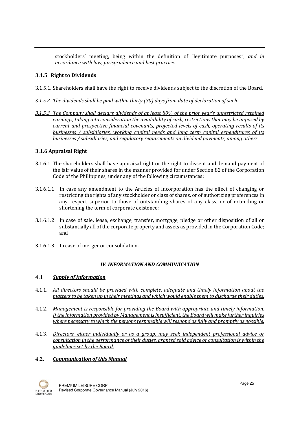stockholders' meeting, being within the definition of "legitimate purposes", and in accordance with law, jurisprudence and best practice.

## 3.1.5 Right to Dividends

- 3.1.5.1. Shareholders shall have the right to receive dividends subject to the discretion of the Board.
- 3.1.5.2. The dividends shall be paid within thirty (30) days from date of declaration of such.
- 3.1.5.3 The Company shall declare dividends of at least 80% of the prior year's unrestricted retained earnings, taking into consideration the availability of cash, restrictions that may be imposed by current and prospective financial covenants, projected levels of cash, operating results of its businesses / subsidiaries, working capital needs and long term capital expenditures of its businesses / subsidiaries, and regulatory requirements on dividend payments, among others.

## 3.1.6 Appraisal Right

- 3.1.6.1 The shareholders shall have appraisal right or the right to dissent and demand payment of the fair value of their shares in the manner provided for under Section 82 of the Corporation Code of the Philippines, under any of the following circumstances:
- 3.1.6.1.1 In case any amendment to the Articles of Incorporation has the effect of changing or restricting the rights of any stockholder or class of shares, or of authorizing preferences in any respect superior to those of outstanding shares of any class, or of extending or shortening the term of corporate existence;
- 3.1.6.1.2 In case of sale, lease, exchange, transfer, mortgage, pledge or other disposition of all or substantially all of the corporate property and assets as provided in the Corporation Code; and
- 3.1.6.1.3 In case of merger or consolidation.

## IV. INFORMATION AND COMMUNICATION

## 4.1 Supply of Information

- 4.1.1. All directors should be provided with complete, adequate and timely information about the matters to be taken up in their meetings and which would enable them to discharge their duties.
- 4.1.2. Management is responsible for providing the Board with appropriate and timely information. If the information provided by Management is insufficient, the Board will make further inquiries where necessary to which the persons responsible will respond as fully and promptly as possible.
- 4.1.3. Directors, either individually or as a group, may seek independent professional advice or consultation in the performance of their duties, granted said advice or consultation is within the guidelines set by the Board.

# 4.2. Communication of this Manual

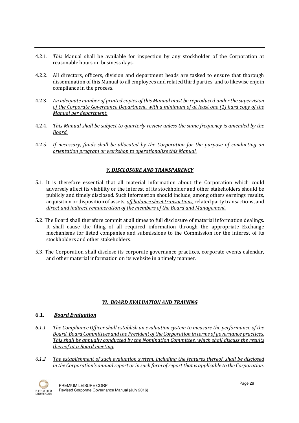- 4.2.1. This Manual shall be available for inspection by any stockholder of the Corporation at reasonable hours on business days.
- 4.2.2. All directors, officers, division and department heads are tasked to ensure that thorough dissemination of this Manual to all employees and related third parties, and to likewise enjoin compliance in the process.
- 4.2.3. An adequate number of printed copies of this Manual must be reproduced under the supervision of the Corporate Governance Department, with a minimum of at least one (1) hard copy of the Manual per department.
- 4.2.4. This Manual shall be subject to quarterly review unless the same frequency is amended by the Board.
- 4.2.5. If necessary, funds shall be allocated by the Corporation for the purpose of conducting an orientation program or workshop to operationalize this Manual.

# V. DISCLOSURE AND TRANSPARENCY

- 5.1. It is therefore essential that all material information about the Corporation which could adversely affect its viability or the interest of its stockholder and other stakeholders should be publicly and timely disclosed. Such information should include, among others earnings results, acquisition or disposition of assets, off balance sheet transactions, related party transactions, and direct and indirect remuneration of the members of the Board and Management.
- 5.2. The Board shall therefore commit at all times to full disclosure of material information dealings. It shall cause the filing of all required information through the appropriate Exchange mechanisms for listed companies and submissions to the Commission for the interest of its stockholders and other stakeholders.
- 5.3. The Corporation shall disclose its corporate governance practices, corporate events calendar, and other material information on its website in a timely manner.

## VI. BOARD EVALUATION AND TRAINING

## 6.1. Board Evaluation

- 6.1.1 The Compliance Officer shall establish an evaluation system to measure the performance of the Board, Board Committees and the President of the Corporation in terms of governance practices. This shall be annually conducted by the Nomination Committee, which shall discuss the results thereof at a Board meeting.
- 6.1.2 The establishment of such evaluation system, including the features thereof, shall be disclosed in the Corporation's annual report or in such form of report that is applicable to the Corporation.

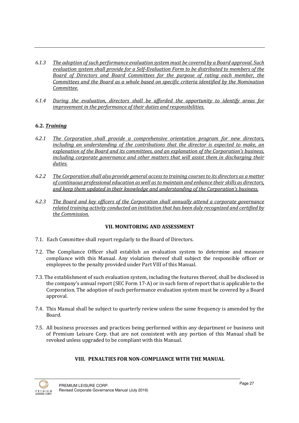- 6.1.3 The adoption of such performance evaluation system must be covered by a Board approval. Such evaluation system shall provide for a Self-Evaluation Form to be distributed to members of the Board of Directors and Board Committees for the purpose of rating each member, the Committees and the Board as a whole based on specific criteria identified by the Nomination Committee.
- 6.1.4 During the evaluation, directors shall be afforded the opportunity to identify areas for improvement in the performance of their duties and responsibilities.

# 6.2. Training

- 6.2.1 The Corporation shall provide a comprehensive orientation program for new directors, including an understanding of the contributions that the director is expected to make, an explanation of the Board and its committees, and an explanation of the Corporation's business, including corporate governance and other matters that will assist them in discharging their duties.
- 6.2.2 The Corporation shall also provide general access to training courses to its directors as a matter of continuous professional education as well as to maintain and enhance their skills as directors, and keep them updated in their knowledge and understanding of the Corporation's business.
- 6.2.3 The Board and key officers of the Corporation shall annually attend a corporate governance related training activity conducted an institution that has been duly recognized and certified by the Commission.

## VII. MONITORING AND ASSESSMENT

- 7.1. Each Committee shall report regularly to the Board of Directors.
- 7.2. The Compliance Officer shall establish an evaluation system to determine and measure compliance with this Manual. Any violation thereof shall subject the responsible officer or employees to the penalty provided under Part VIII of this Manual.
- 7.3. The establishment of such evaluation system, including the features thereof, shall be disclosed in the company's annual report (SEC Form 17-A) or in such form of report that is applicable to the Corporation. The adoption of such performance evaluation system must be covered by a Board approval.
- 7.4. This Manual shall be subject to quarterly review unless the same frequency is amended by the Board.
- 7.5. All business processes and practices being performed within any department or business unit of Premium Leisure Corp. that are not consistent with any portion of this Manual shall be revoked unless upgraded to be compliant with this Manual.

## VIII. PENALTIES FOR NON-COMPLIANCE WITH THE MANUAL